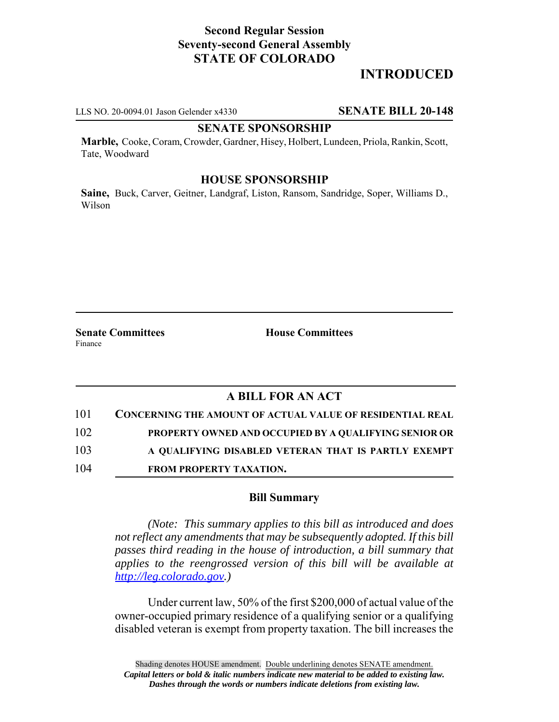# **Second Regular Session Seventy-second General Assembly STATE OF COLORADO**

# **INTRODUCED**

LLS NO. 20-0094.01 Jason Gelender x4330 **SENATE BILL 20-148**

# **SENATE SPONSORSHIP**

**Marble,** Cooke, Coram, Crowder, Gardner, Hisey, Holbert, Lundeen, Priola, Rankin, Scott, Tate, Woodward

#### **HOUSE SPONSORSHIP**

**Saine,** Buck, Carver, Geitner, Landgraf, Liston, Ransom, Sandridge, Soper, Williams D., Wilson

**Senate Committees House Committees** Finance

# **A BILL FOR AN ACT**

| 101 | <b>CONCERNING THE AMOUNT OF ACTUAL VALUE OF RESIDENTIAL REAL</b> |
|-----|------------------------------------------------------------------|
| 102 | PROPERTY OWNED AND OCCUPIED BY A QUALIFYING SENIOR OR            |
| 103 | A OUALIFYING DISABLED VETERAN THAT IS PARTLY EXEMPT              |
| 104 | <b>FROM PROPERTY TAXATION.</b>                                   |

### **Bill Summary**

*(Note: This summary applies to this bill as introduced and does not reflect any amendments that may be subsequently adopted. If this bill passes third reading in the house of introduction, a bill summary that applies to the reengrossed version of this bill will be available at http://leg.colorado.gov.)*

Under current law, 50% of the first \$200,000 of actual value of the owner-occupied primary residence of a qualifying senior or a qualifying disabled veteran is exempt from property taxation. The bill increases the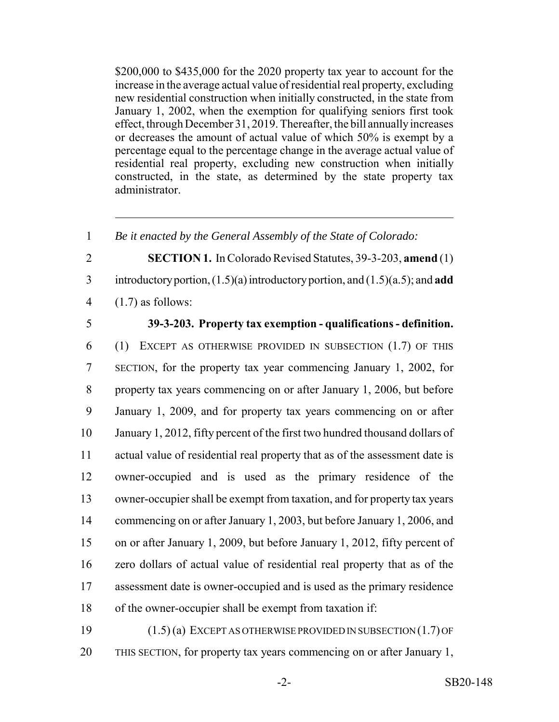\$200,000 to \$435,000 for the 2020 property tax year to account for the increase in the average actual value of residential real property, excluding new residential construction when initially constructed, in the state from January 1, 2002, when the exemption for qualifying seniors first took effect, through December 31, 2019. Thereafter, the bill annually increases or decreases the amount of actual value of which 50% is exempt by a percentage equal to the percentage change in the average actual value of residential real property, excluding new construction when initially constructed, in the state, as determined by the state property tax administrator.

*Be it enacted by the General Assembly of the State of Colorado:*

**SECTION 1.** In Colorado Revised Statutes, 39-3-203, **amend** (1)

introductory portion, (1.5)(a) introductory portion, and (1.5)(a.5); and **add**

4  $(1.7)$  as follows:

## **39-3-203. Property tax exemption - qualifications - definition.**

 (1) EXCEPT AS OTHERWISE PROVIDED IN SUBSECTION (1.7) OF THIS SECTION, for the property tax year commencing January 1, 2002, for property tax years commencing on or after January 1, 2006, but before January 1, 2009, and for property tax years commencing on or after January 1, 2012, fifty percent of the first two hundred thousand dollars of actual value of residential real property that as of the assessment date is owner-occupied and is used as the primary residence of the owner-occupier shall be exempt from taxation, and for property tax years commencing on or after January 1, 2003, but before January 1, 2006, and on or after January 1, 2009, but before January 1, 2012, fifty percent of zero dollars of actual value of residential real property that as of the assessment date is owner-occupied and is used as the primary residence of the owner-occupier shall be exempt from taxation if:

 (1.5) (a) EXCEPT AS OTHERWISE PROVIDED IN SUBSECTION (1.7) OF THIS SECTION, for property tax years commencing on or after January 1,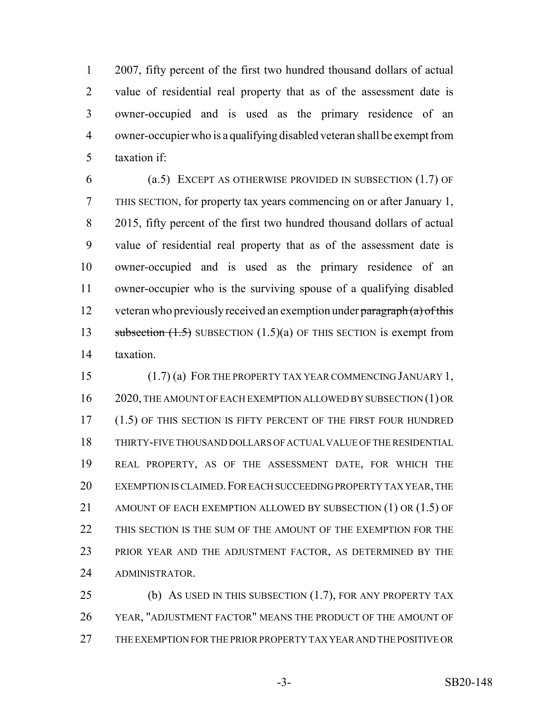2007, fifty percent of the first two hundred thousand dollars of actual value of residential real property that as of the assessment date is owner-occupied and is used as the primary residence of an owner-occupier who is a qualifying disabled veteran shall be exempt from taxation if:

 (a.5) EXCEPT AS OTHERWISE PROVIDED IN SUBSECTION (1.7) OF THIS SECTION, for property tax years commencing on or after January 1, 2015, fifty percent of the first two hundred thousand dollars of actual value of residential real property that as of the assessment date is owner-occupied and is used as the primary residence of an owner-occupier who is the surviving spouse of a qualifying disabled 12 veteran who previously received an exemption under  $\frac{\partial^2 u}{\partial x^2}$  (a) of this 13 subsection  $(1.5)$  SUBSECTION  $(1.5)(a)$  OF THIS SECTION is exempt from taxation.

 (1.7) (a) FOR THE PROPERTY TAX YEAR COMMENCING JANUARY 1, 2020, THE AMOUNT OF EACH EXEMPTION ALLOWED BY SUBSECTION (1) OR 17 (1.5) OF THIS SECTION IS FIFTY PERCENT OF THE FIRST FOUR HUNDRED THIRTY-FIVE THOUSAND DOLLARS OF ACTUAL VALUE OF THE RESIDENTIAL REAL PROPERTY, AS OF THE ASSESSMENT DATE, FOR WHICH THE 20 EXEMPTION IS CLAIMED. FOR EACH SUCCEEDING PROPERTY TAX YEAR, THE 21 AMOUNT OF EACH EXEMPTION ALLOWED BY SUBSECTION (1) OR (1.5) OF THIS SECTION IS THE SUM OF THE AMOUNT OF THE EXEMPTION FOR THE 23 PRIOR YEAR AND THE ADJUSTMENT FACTOR, AS DETERMINED BY THE ADMINISTRATOR.

25 (b) AS USED IN THIS SUBSECTION (1.7), FOR ANY PROPERTY TAX YEAR, "ADJUSTMENT FACTOR" MEANS THE PRODUCT OF THE AMOUNT OF THE EXEMPTION FOR THE PRIOR PROPERTY TAX YEAR AND THE POSITIVE OR